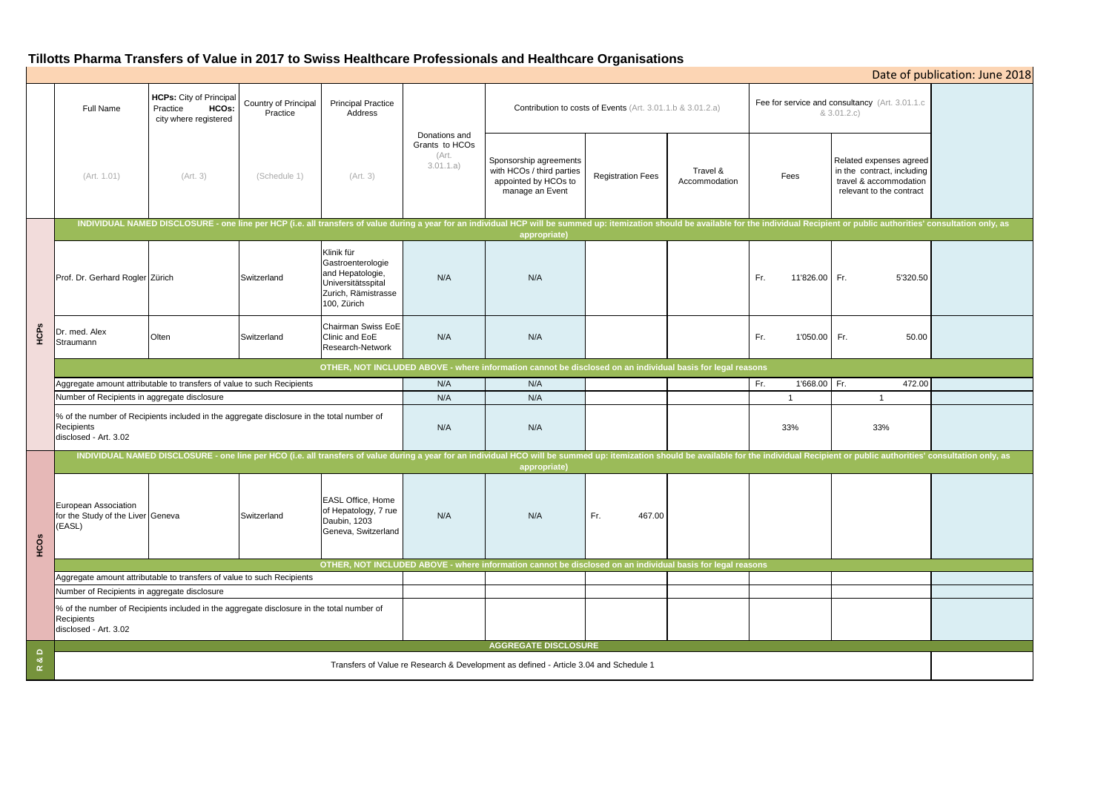# **Tillotts Pharma Transfers of Value in 2017 to Swiss Healthcare Professionals and Healthcare Organisations**

|                                |                                                                                                                                                                                                                                                |                                                                              |                                  |                                                                                                                 |                                                       |                                                                                                            |                          |                           |                                                               |                                                                                                                                                                                                                                | Date of publication: June 2018 |
|--------------------------------|------------------------------------------------------------------------------------------------------------------------------------------------------------------------------------------------------------------------------------------------|------------------------------------------------------------------------------|----------------------------------|-----------------------------------------------------------------------------------------------------------------|-------------------------------------------------------|------------------------------------------------------------------------------------------------------------|--------------------------|---------------------------|---------------------------------------------------------------|--------------------------------------------------------------------------------------------------------------------------------------------------------------------------------------------------------------------------------|--------------------------------|
|                                | Full Name                                                                                                                                                                                                                                      | <b>HCPs:</b> City of Principal<br>HCOs:<br>Practice<br>city where registered | Country of Principal<br>Practice | <b>Principal Practice</b><br>Address                                                                            | Donations and<br>Grants to HCOs<br>(Art.<br>3.01.1.a) | Contribution to costs of Events (Art. 3.01.1.b & 3.01.2.a)                                                 |                          |                           | Fee for service and consultancy (Art. 3.01.1.c<br>& 3.01.2.c) |                                                                                                                                                                                                                                |                                |
|                                | (Art. 1.01)                                                                                                                                                                                                                                    | (Art. 3)                                                                     | (Schedule 1)                     | (Art. 3)                                                                                                        |                                                       | Sponsorship agreements<br>with HCOs / third parties<br>appointed by HCOs to<br>manage an Event             | <b>Registration Fees</b> | Travel &<br>Accommodation | Fees                                                          | Related expenses agreed<br>in the contract, including<br>travel & accommodation<br>relevant to the contract                                                                                                                    |                                |
|                                |                                                                                                                                                                                                                                                |                                                                              |                                  |                                                                                                                 |                                                       | appropriate)                                                                                               |                          |                           |                                                               | INDIVIDUAL NAMED DISCLOSURE - one line per HCP (i.e. all transfers of value during a year for an individual HCP will be summed up: itemization should be available for the individual Recipient or public authorities' consult |                                |
| HCPs                           | Prof. Dr. Gerhard Rogler Zürich                                                                                                                                                                                                                |                                                                              | Switzerland                      | Klinik für<br>Gastroenterologie<br>and Hepatologie,<br>Universitätsspital<br>Zurich, Rämistrasse<br>100, Zürich | N/A                                                   | N/A                                                                                                        |                          |                           | Fr.<br>11'826.00 Fr.                                          | 5'320.50                                                                                                                                                                                                                       |                                |
|                                | Dr. med. Alex<br>Straumann                                                                                                                                                                                                                     | Olten                                                                        | Switzerland                      | Chairman Swiss EoE<br>Clinic and EoE<br>Research-Network                                                        | N/A                                                   | N/A                                                                                                        |                          |                           | Fr.<br>1'050.00 Fr.                                           | 50.00                                                                                                                                                                                                                          |                                |
|                                |                                                                                                                                                                                                                                                |                                                                              |                                  |                                                                                                                 |                                                       | OTHER, NOT INCLUDED ABOVE - where information cannot be disclosed on an individual basis for legal reasons |                          |                           |                                                               |                                                                                                                                                                                                                                |                                |
|                                | Aggregate amount attributable to transfers of value to such Recipients                                                                                                                                                                         |                                                                              |                                  |                                                                                                                 | N/A                                                   | N/A                                                                                                        |                          |                           | 1'668.00 Fr.<br>Fr.                                           | 472.00                                                                                                                                                                                                                         |                                |
|                                | Number of Recipients in aggregate disclosure                                                                                                                                                                                                   |                                                                              |                                  |                                                                                                                 | N/A                                                   | N/A                                                                                                        |                          |                           |                                                               | $\overline{1}$                                                                                                                                                                                                                 |                                |
|                                | % of the number of Recipients included in the aggregate disclosure in the total number of<br>Recipients<br>disclosed - Art. 3.02                                                                                                               |                                                                              |                                  |                                                                                                                 | N/A                                                   | N/A                                                                                                        |                          |                           | 33%                                                           | 33%                                                                                                                                                                                                                            |                                |
| HCOS                           | INDIVIDUAL NAMED DISCLOSURE - one line per HCO (i.e. all transfers of value during a year for an individual HCO will be summed up: itemization should be available for the individual Recipient or public authorities' consult<br>appropriate) |                                                                              |                                  |                                                                                                                 |                                                       |                                                                                                            |                          |                           |                                                               |                                                                                                                                                                                                                                |                                |
|                                | European Association<br>for the Study of the Liver Geneva<br>(EASL)                                                                                                                                                                            |                                                                              | Switzerland                      | EASL Office, Home<br>of Hepatology, 7 rue<br>Daubin, 1203<br>Geneva, Switzerland                                | N/A                                                   | N/A                                                                                                        | Fr.<br>467.00            |                           |                                                               |                                                                                                                                                                                                                                |                                |
|                                | OTHER, NOT INCLUDED ABOVE - where information cannot be disclosed on an individual basis for legal reasons                                                                                                                                     |                                                                              |                                  |                                                                                                                 |                                                       |                                                                                                            |                          |                           |                                                               |                                                                                                                                                                                                                                |                                |
|                                | Aggregate amount attributable to transfers of value to such Recipients                                                                                                                                                                         |                                                                              |                                  |                                                                                                                 |                                                       |                                                                                                            |                          |                           |                                                               |                                                                                                                                                                                                                                |                                |
|                                | Number of Recipients in aggregate disclosure                                                                                                                                                                                                   |                                                                              |                                  |                                                                                                                 |                                                       |                                                                                                            |                          |                           |                                                               |                                                                                                                                                                                                                                |                                |
|                                | % of the number of Recipients included in the aggregate disclosure in the total number of<br>Recipients<br>disclosed - Art. 3.02                                                                                                               |                                                                              |                                  |                                                                                                                 |                                                       |                                                                                                            |                          |                           |                                                               |                                                                                                                                                                                                                                |                                |
| $\frac{a}{\alpha}$<br>$\simeq$ | <b>AGGREGATE DISCLOSURE</b>                                                                                                                                                                                                                    |                                                                              |                                  |                                                                                                                 |                                                       |                                                                                                            |                          |                           |                                                               |                                                                                                                                                                                                                                |                                |
|                                | Transfers of Value re Research & Development as defined - Article 3.04 and Schedule 1                                                                                                                                                          |                                                                              |                                  |                                                                                                                 |                                                       |                                                                                                            |                          |                           |                                                               |                                                                                                                                                                                                                                |                                |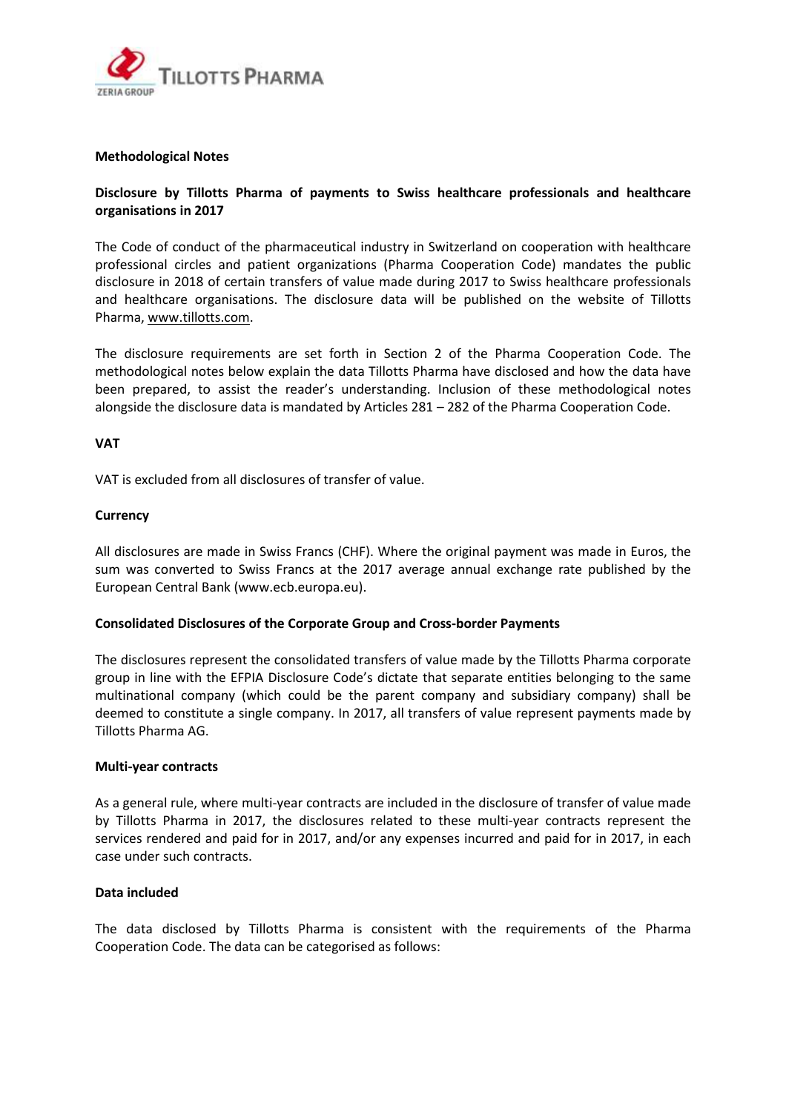

## **Methodological Notes**

# **Disclosure by Tillotts Pharma of payments to Swiss healthcare professionals and healthcare organisations in 2017**

The Code of conduct of the pharmaceutical industry in Switzerland on cooperation with healthcare professional circles and patient organizations (Pharma Cooperation Code) mandates the public disclosure in 2018 of certain transfers of value made during 2017 to Swiss healthcare professionals and healthcare organisations. The disclosure data will be published on the website of Tillotts Pharma, [www.tillotts.com.](http://www.tillotts.com/)

The disclosure requirements are set forth in Section 2 of the Pharma Cooperation Code. The methodological notes below explain the data Tillotts Pharma have disclosed and how the data have been prepared, to assist the reader's understanding. Inclusion of these methodological notes alongside the disclosure data is mandated by Articles 281 – 282 of the Pharma Cooperation Code.

### **VAT**

VAT is excluded from all disclosures of transfer of value.

#### **Currency**

All disclosures are made in Swiss Francs (CHF). Where the original payment was made in Euros, the sum was converted to Swiss Francs at the 2017 average annual exchange rate published by the European Central Bank (www.ecb.europa.eu).

## **Consolidated Disclosures of the Corporate Group and Cross‐border Payments**

The disclosures represent the consolidated transfers of value made by the Tillotts Pharma corporate group in line with the EFPIA Disclosure Code's dictate that separate entities belonging to the same multinational company (which could be the parent company and subsidiary company) shall be deemed to constitute a single company. In 2017, all transfers of value represent payments made by Tillotts Pharma AG.

#### **Multi‐year contracts**

As a general rule, where multi‐year contracts are included in the disclosure of transfer of value made by Tillotts Pharma in 2017, the disclosures related to these multi-year contracts represent the services rendered and paid for in 2017, and/or any expenses incurred and paid for in 2017, in each case under such contracts.

#### **Data included**

The data disclosed by Tillotts Pharma is consistent with the requirements of the Pharma Cooperation Code. The data can be categorised as follows: